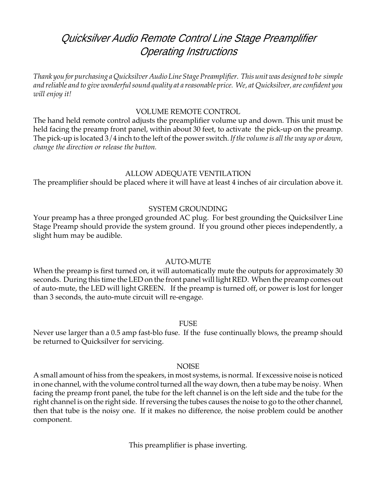# Quicksilver Audio Remote Control Line Stage Preamplifier Operating Instructions

*Thank you for purchasing a Quicksilver Audio Line Stage Preamplifier. This unit was designed to be simple and reliable and to give wonderful sound quality at a reasonable price. We, at Quicksilver, are confident you will enjoy it!*

# VOLUME REMOTE CONTROL

The hand held remote control adjusts the preamplifier volume up and down. This unit must be held facing the preamp front panel, within about 30 feet, to activate the pick-up on the preamp. The pick-up is located 3/4 inch to the left of the power switch. *If the volume is all the way up or down, change the direction or release the button.*

## ALLOW ADEQUATE VENTILATION

The preamplifier should be placed where it will have at least 4 inches of air circulation above it.

# SYSTEM GROUNDING

Your preamp has a three pronged grounded AC plug. For best grounding the Quicksilver Line Stage Preamp should provide the system ground. If you ground other pieces independently, a slight hum may be audible.

### AUTO-MUTE

When the preamp is first turned on, it will automatically mute the outputs for approximately 30 seconds. During this time the LED on the front panel will light RED. When the preamp comes out of auto-mute, the LED will light GREEN. If the preamp is turned off, or power is lost for longer than 3 seconds, the auto-mute circuit will re-engage.

### FUSE

Never use larger than a 0.5 amp fast-blo fuse. If the fuse continually blows, the preamp should be returned to Quicksilver for servicing.

### **NOISE**

A small amount of hiss from the speakers, in most systems, is normal. If excessive noise is noticed in one channel, with the volume control turned all the way down, then a tube may be noisy. When facing the preamp front panel, the tube for the left channel is on the left side and the tube for the right channel is on the right side. If reversing the tubes causes the noise to go to the other channel, then that tube is the noisy one. If it makes no difference, the noise problem could be another component.

This preamplifier is phase inverting.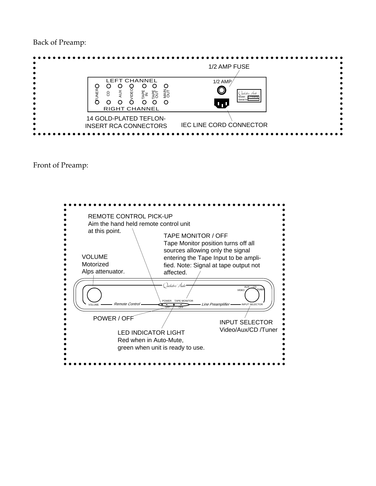Back of Preamp:



Front of Preamp: